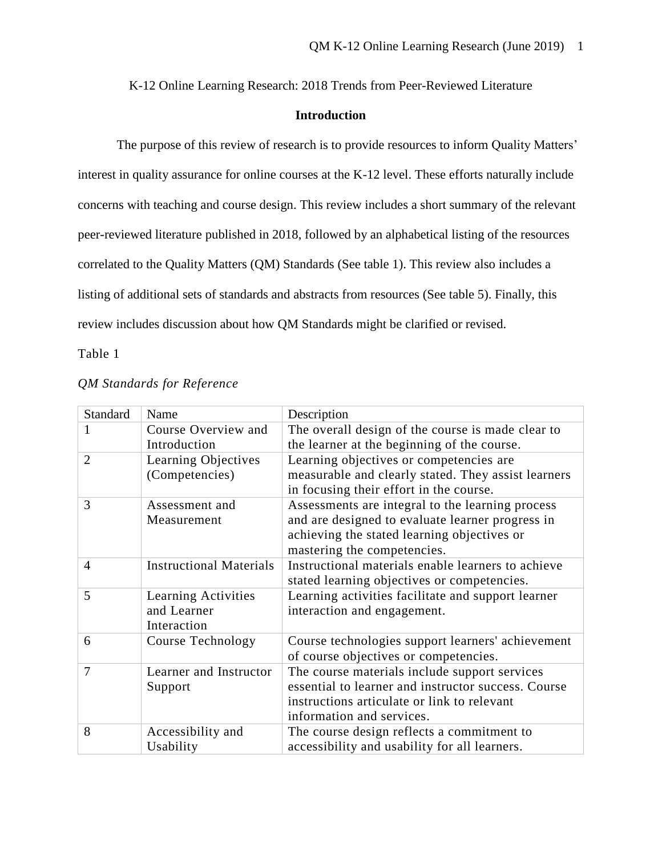K-12 Online Learning Research: 2018 Trends from Peer-Reviewed Literature

## **Introduction**

The purpose of this review of research is to provide resources to inform Quality Matters' interest in quality assurance for online courses at the K-12 level. These efforts naturally include concerns with teaching and course design. This review includes a short summary of the relevant peer-reviewed literature published in 2018, followed by an alphabetical listing of the resources correlated to the Quality Matters (QM) Standards (See table 1). This review also includes a listing of additional sets of standards and abstracts from resources (See table 5). Finally, this review includes discussion about how QM Standards might be clarified or revised.

Table 1

| Standard       | Name                           | Description                                         |
|----------------|--------------------------------|-----------------------------------------------------|
|                | Course Overview and            | The overall design of the course is made clear to   |
|                | Introduction                   | the learner at the beginning of the course.         |
| $\overline{2}$ | Learning Objectives            | Learning objectives or competencies are             |
|                | (Competencies)                 | measurable and clearly stated. They assist learners |
|                |                                | in focusing their effort in the course.             |
| 3              | Assessment and                 | Assessments are integral to the learning process    |
|                | Measurement                    | and are designed to evaluate learner progress in    |
|                |                                | achieving the stated learning objectives or         |
|                |                                | mastering the competencies.                         |
| $\overline{4}$ | <b>Instructional Materials</b> | Instructional materials enable learners to achieve  |
|                |                                | stated learning objectives or competencies.         |
| 5              | Learning Activities            | Learning activities facilitate and support learner  |
|                | and Learner                    | interaction and engagement.                         |
|                | Interaction                    |                                                     |
| 6              | Course Technology              | Course technologies support learners' achievement   |
|                |                                | of course objectives or competencies.               |
| 7              | Learner and Instructor         | The course materials include support services       |
|                | Support                        | essential to learner and instructor success. Course |
|                |                                | instructions articulate or link to relevant         |
|                |                                | information and services.                           |
| 8              | Accessibility and              | The course design reflects a commitment to          |
|                | Usability                      | accessibility and usability for all learners.       |

#### *QM Standards for Reference*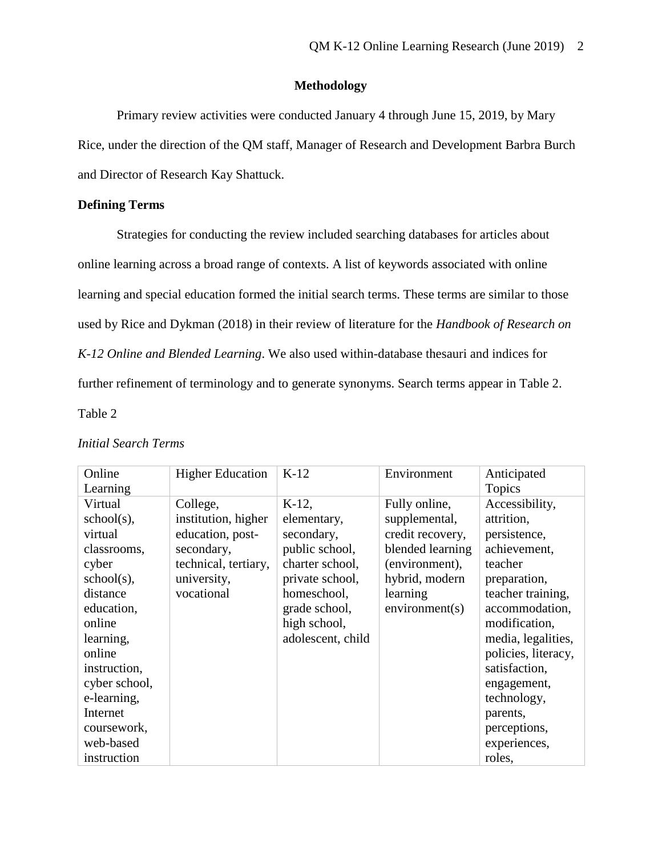## **Methodology**

Primary review activities were conducted January 4 through June 15, 2019, by Mary Rice, under the direction of the QM staff, Manager of Research and Development Barbra Burch and Director of Research Kay Shattuck.

# **Defining Terms**

Strategies for conducting the review included searching databases for articles about online learning across a broad range of contexts. A list of keywords associated with online learning and special education formed the initial search terms. These terms are similar to those used by Rice and Dykman (2018) in their review of literature for the *Handbook of Research on K-12 Online and Blended Learning*. We also used within-database thesauri and indices for further refinement of terminology and to generate synonyms. Search terms appear in Table 2.

Table 2

| Online        | <b>Higher Education</b> | $K-12$            | Environment      | Anticipated         |
|---------------|-------------------------|-------------------|------------------|---------------------|
| Learning      |                         |                   |                  | <b>Topics</b>       |
| Virtual       | College,                | $K-12$ ,          | Fully online,    | Accessibility,      |
| $school(s)$ , | institution, higher     | elementary,       | supplemental,    | attrition,          |
| virtual       | education, post-        | secondary,        | credit recovery, | persistence,        |
| classrooms,   | secondary,              | public school,    | blended learning | achievement,        |
| cyber         | technical, tertiary,    | charter school,   | (environment),   | teacher             |
| school(s),    | university,             | private school,   | hybrid, modern   | preparation,        |
| distance      | vocational              | homeschool,       | learning         | teacher training,   |
| education,    |                         | grade school,     | environment(s)   | accommodation,      |
| online        |                         | high school,      |                  | modification,       |
| learning,     |                         | adolescent, child |                  | media, legalities,  |
| online        |                         |                   |                  | policies, literacy, |
| instruction,  |                         |                   |                  | satisfaction,       |
| cyber school, |                         |                   |                  | engagement,         |
| e-learning,   |                         |                   |                  | technology,         |
| Internet      |                         |                   |                  | parents,            |
| coursework,   |                         |                   |                  | perceptions,        |
| web-based     |                         |                   |                  | experiences,        |
| instruction   |                         |                   |                  | roles,              |

# *Initial Search Terms*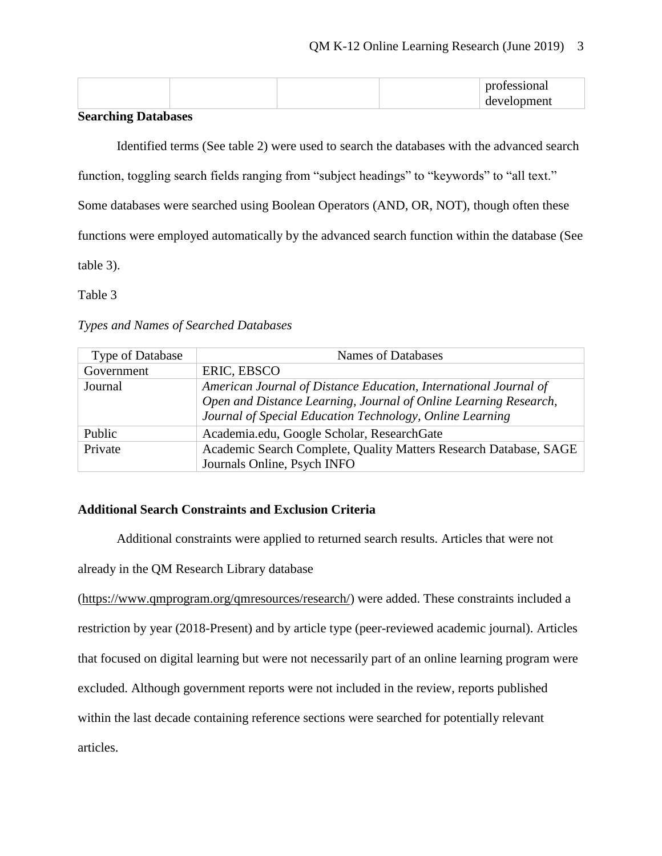|  |  | $\sim$ |
|--|--|--------|

# **Searching Databases**

Identified terms (See table 2) were used to search the databases with the advanced search

function, toggling search fields ranging from "subject headings" to "keywords" to "all text."

Some databases were searched using Boolean Operators (AND, OR, NOT), though often these

functions were employed automatically by the advanced search function within the database (See

table 3).

Table 3

### *Types and Names of Searched Databases*

| Type of Database | Names of Databases                                                                                                                                                                               |
|------------------|--------------------------------------------------------------------------------------------------------------------------------------------------------------------------------------------------|
| Government       | ERIC, EBSCO                                                                                                                                                                                      |
| Journal          | American Journal of Distance Education, International Journal of<br>Open and Distance Learning, Journal of Online Learning Research,<br>Journal of Special Education Technology, Online Learning |
| Public           | Academia.edu, Google Scholar, ResearchGate                                                                                                                                                       |
| Private          | Academic Search Complete, Quality Matters Research Database, SAGE<br>Journals Online, Psych INFO                                                                                                 |

## **Additional Search Constraints and Exclusion Criteria**

Additional constraints were applied to returned search results. Articles that were not

already in the QM Research Library database

[\(https://www.qmprogram.org/qmresources/research/\)](https://www.qmprogram.org/qmresources/research/) were added. These constraints included a restriction by year (2018-Present) and by article type (peer-reviewed academic journal). Articles that focused on digital learning but were not necessarily part of an online learning program were excluded. Although government reports were not included in the review, reports published within the last decade containing reference sections were searched for potentially relevant articles.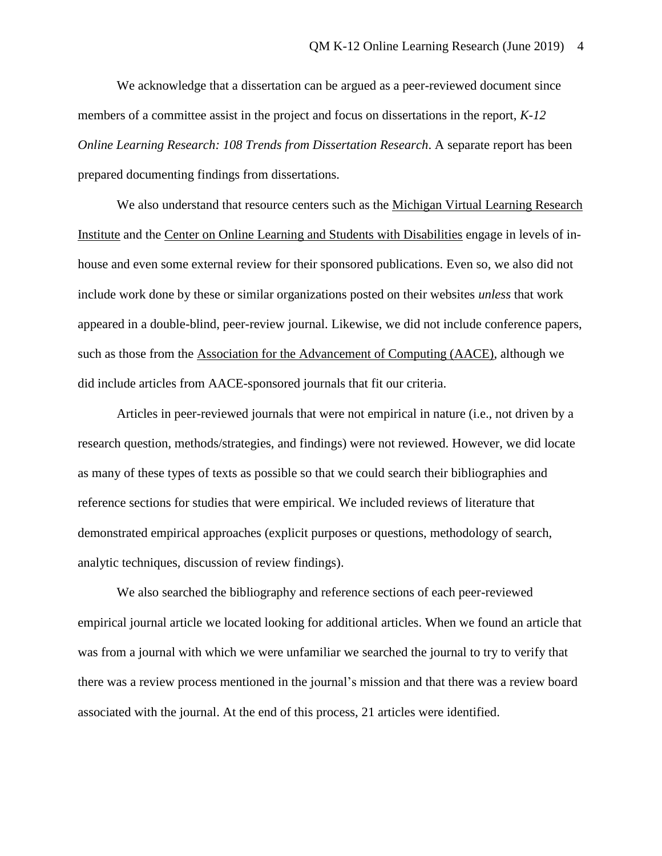We acknowledge that a dissertation can be argued as a peer-reviewed document since members of a committee assist in the project and focus on dissertations in the report, *K-12 Online Learning Research: 108 Trends from Dissertation Research*. A separate report has been prepared documenting findings from dissertations.

We also understand that resource centers such as the [Michigan Virtual Learning Research](https://mvlri.org/)  [Institute](https://mvlri.org/) and the [Center on Online Learning and Students with Disabilities](http://www.centerononlinelearning.res.ku.edu/) engage in levels of inhouse and even some external review for their sponsored publications. Even so, we also did not include work done by these or similar organizations posted on their websites *unless* that work appeared in a double-blind, peer-review journal. Likewise, we did not include conference papers, such as those from the [Association for the Advancement of Computing \(AACE\),](https://www.aace.org/) although we did include articles from AACE-sponsored journals that fit our criteria.

Articles in peer-reviewed journals that were not empirical in nature (i.e., not driven by a research question, methods/strategies, and findings) were not reviewed. However, we did locate as many of these types of texts as possible so that we could search their bibliographies and reference sections for studies that were empirical. We included reviews of literature that demonstrated empirical approaches (explicit purposes or questions, methodology of search, analytic techniques, discussion of review findings).

We also searched the bibliography and reference sections of each peer-reviewed empirical journal article we located looking for additional articles. When we found an article that was from a journal with which we were unfamiliar we searched the journal to try to verify that there was a review process mentioned in the journal's mission and that there was a review board associated with the journal. At the end of this process, 21 articles were identified.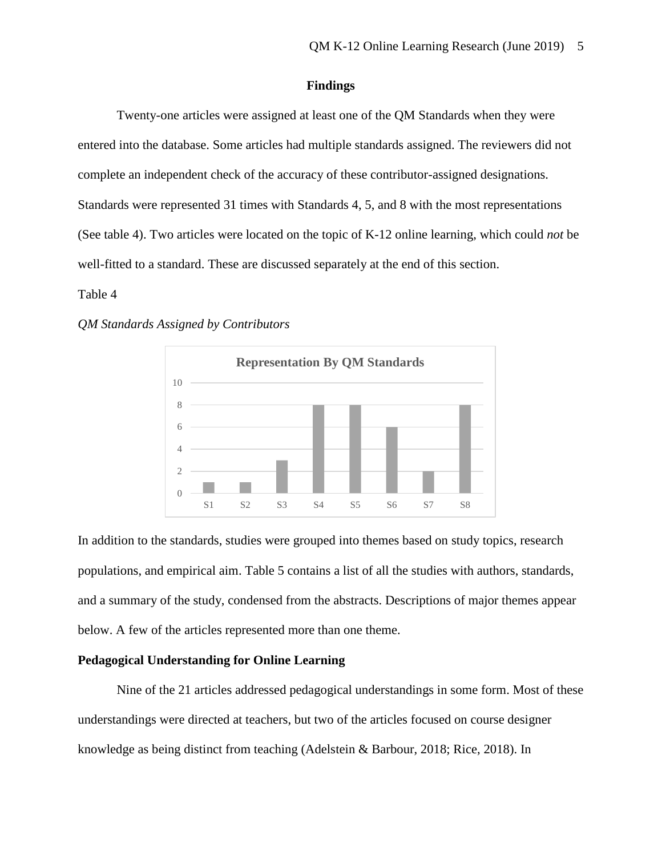#### **Findings**

Twenty-one articles were assigned at least one of the QM Standards when they were entered into the database. Some articles had multiple standards assigned. The reviewers did not complete an independent check of the accuracy of these contributor-assigned designations. Standards were represented 31 times with Standards 4, 5, and 8 with the most representations (See table 4). Two articles were located on the topic of K-12 online learning, which could *not* be well-fitted to a standard. These are discussed separately at the end of this section.

#### Table 4

#### *QM Standards Assigned by Contributors*



In addition to the standards, studies were grouped into themes based on study topics, research populations, and empirical aim. Table 5 contains a list of all the studies with authors, standards, and a summary of the study, condensed from the abstracts. Descriptions of major themes appear below. A few of the articles represented more than one theme.

## **Pedagogical Understanding for Online Learning**

Nine of the 21 articles addressed pedagogical understandings in some form. Most of these understandings were directed at teachers, but two of the articles focused on course designer knowledge as being distinct from teaching (Adelstein & Barbour, 2018; Rice, 2018). In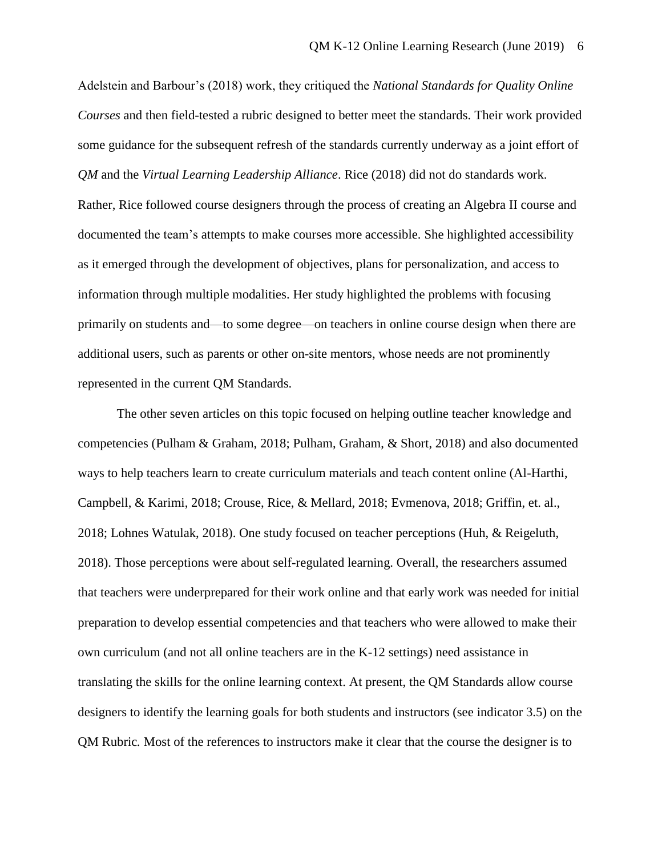Adelstein and Barbour's (2018) work, they critiqued the *National Standards for Quality Online Courses* and then field-tested a rubric designed to better meet the standards. Their work provided some guidance for the subsequent refresh of the standards currently underway as a joint effort of *QM* and the *Virtual Learning Leadership Alliance*. Rice (2018) did not do standards work. Rather, Rice followed course designers through the process of creating an Algebra II course and documented the team's attempts to make courses more accessible. She highlighted accessibility as it emerged through the development of objectives, plans for personalization, and access to information through multiple modalities. Her study highlighted the problems with focusing primarily on students and—to some degree—on teachers in online course design when there are additional users, such as parents or other on-site mentors, whose needs are not prominently represented in the current QM Standards.

The other seven articles on this topic focused on helping outline teacher knowledge and competencies (Pulham & Graham, 2018; Pulham, Graham, & Short, 2018) and also documented ways to help teachers learn to create curriculum materials and teach content online (Al-Harthi, Campbell, & Karimi, 2018; Crouse, Rice, & Mellard, 2018; Evmenova, 2018; Griffin, et. al., 2018; Lohnes Watulak, 2018). One study focused on teacher perceptions (Huh, & Reigeluth, 2018). Those perceptions were about self-regulated learning. Overall, the researchers assumed that teachers were underprepared for their work online and that early work was needed for initial preparation to develop essential competencies and that teachers who were allowed to make their own curriculum (and not all online teachers are in the K-12 settings) need assistance in translating the skills for the online learning context. At present, the QM Standards allow course designers to identify the learning goals for both students and instructors (see indicator 3.5) on the QM Rubric*.* Most of the references to instructors make it clear that the course the designer is to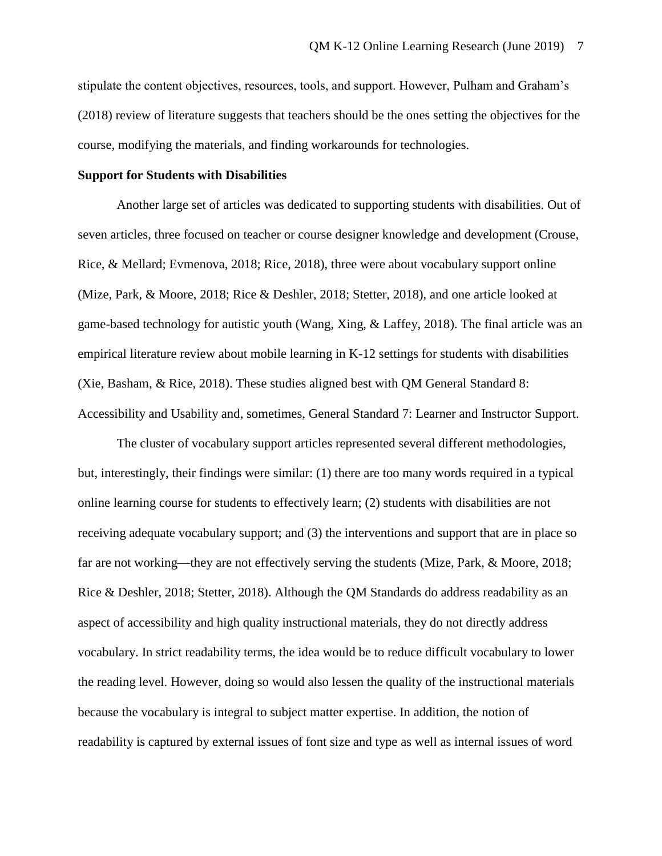stipulate the content objectives, resources, tools, and support. However, Pulham and Graham's (2018) review of literature suggests that teachers should be the ones setting the objectives for the course, modifying the materials, and finding workarounds for technologies.

#### **Support for Students with Disabilities**

Another large set of articles was dedicated to supporting students with disabilities. Out of seven articles, three focused on teacher or course designer knowledge and development (Crouse, Rice, & Mellard; Evmenova, 2018; Rice, 2018), three were about vocabulary support online (Mize, Park, & Moore, 2018; Rice & Deshler, 2018; Stetter, 2018), and one article looked at game-based technology for autistic youth (Wang, Xing, & Laffey, 2018). The final article was an empirical literature review about mobile learning in K-12 settings for students with disabilities (Xie, Basham, & Rice, 2018). These studies aligned best with QM General Standard 8: Accessibility and Usability and, sometimes, General Standard 7: Learner and Instructor Support.

The cluster of vocabulary support articles represented several different methodologies, but, interestingly, their findings were similar: (1) there are too many words required in a typical online learning course for students to effectively learn; (2) students with disabilities are not receiving adequate vocabulary support; and (3) the interventions and support that are in place so far are not working—they are not effectively serving the students (Mize, Park, & Moore, 2018; Rice & Deshler, 2018; Stetter, 2018). Although the QM Standards do address readability as an aspect of accessibility and high quality instructional materials, they do not directly address vocabulary. In strict readability terms, the idea would be to reduce difficult vocabulary to lower the reading level. However, doing so would also lessen the quality of the instructional materials because the vocabulary is integral to subject matter expertise. In addition, the notion of readability is captured by external issues of font size and type as well as internal issues of word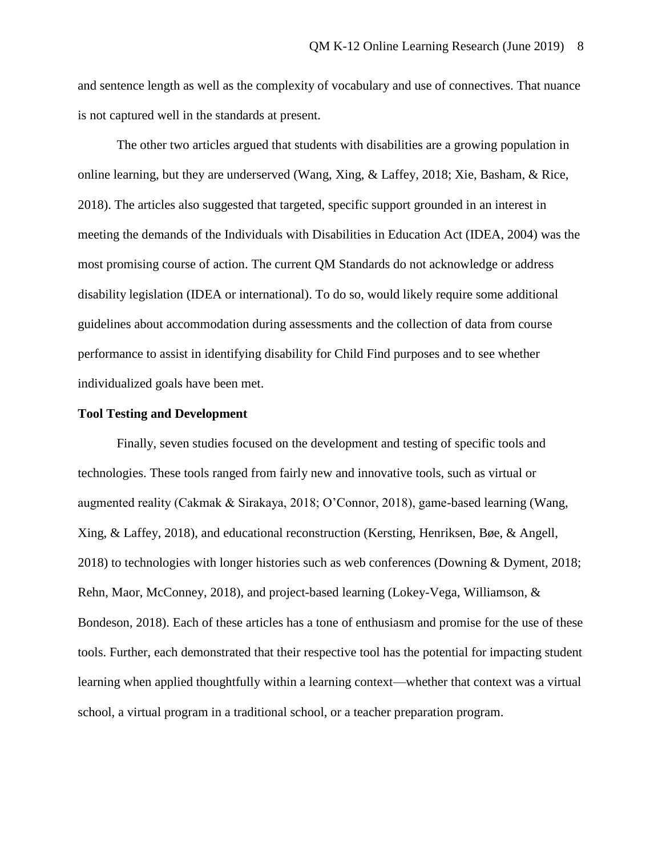and sentence length as well as the complexity of vocabulary and use of connectives. That nuance is not captured well in the standards at present.

The other two articles argued that students with disabilities are a growing population in online learning, but they are underserved (Wang, Xing, & Laffey, 2018; Xie, Basham, & Rice, 2018). The articles also suggested that targeted, specific support grounded in an interest in meeting the demands of the Individuals with Disabilities in Education Act (IDEA, 2004) was the most promising course of action. The current QM Standards do not acknowledge or address disability legislation (IDEA or international). To do so, would likely require some additional guidelines about accommodation during assessments and the collection of data from course performance to assist in identifying disability for Child Find purposes and to see whether individualized goals have been met.

### **Tool Testing and Development**

Finally, seven studies focused on the development and testing of specific tools and technologies. These tools ranged from fairly new and innovative tools, such as virtual or augmented reality (Cakmak & Sirakaya, 2018; O'Connor, 2018), game-based learning (Wang, Xing, & Laffey, 2018), and educational reconstruction (Kersting, Henriksen, Bøe, & Angell, 2018) to technologies with longer histories such as web conferences (Downing & Dyment, 2018; Rehn, Maor, McConney, 2018), and project-based learning (Lokey-Vega, Williamson, & Bondeson, 2018). Each of these articles has a tone of enthusiasm and promise for the use of these tools. Further, each demonstrated that their respective tool has the potential for impacting student learning when applied thoughtfully within a learning context—whether that context was a virtual school, a virtual program in a traditional school, or a teacher preparation program.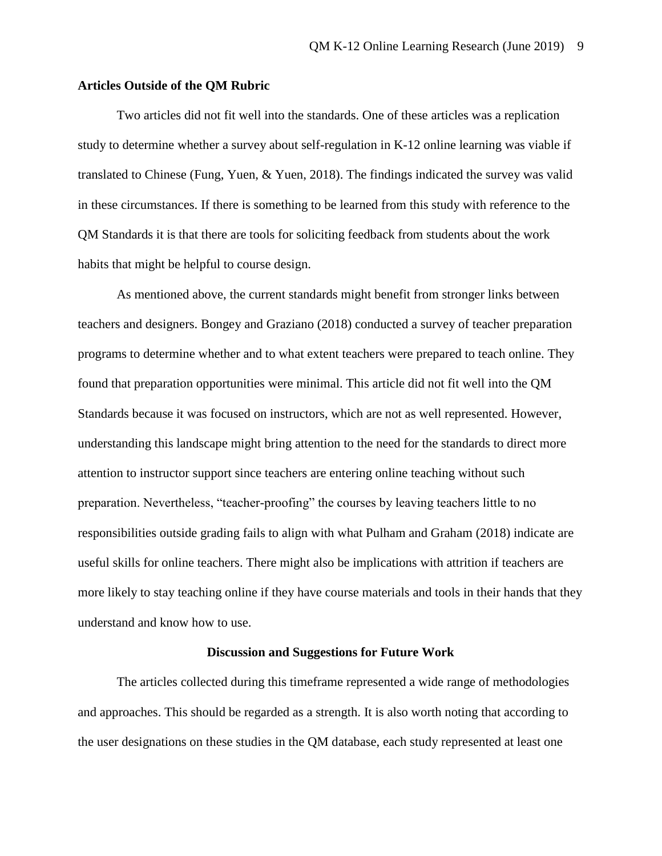### **Articles Outside of the QM Rubric**

Two articles did not fit well into the standards. One of these articles was a replication study to determine whether a survey about self-regulation in K-12 online learning was viable if translated to Chinese (Fung, Yuen, & Yuen, 2018). The findings indicated the survey was valid in these circumstances. If there is something to be learned from this study with reference to the QM Standards it is that there are tools for soliciting feedback from students about the work habits that might be helpful to course design.

As mentioned above, the current standards might benefit from stronger links between teachers and designers. Bongey and Graziano (2018) conducted a survey of teacher preparation programs to determine whether and to what extent teachers were prepared to teach online. They found that preparation opportunities were minimal. This article did not fit well into the QM Standards because it was focused on instructors, which are not as well represented. However, understanding this landscape might bring attention to the need for the standards to direct more attention to instructor support since teachers are entering online teaching without such preparation. Nevertheless, "teacher-proofing" the courses by leaving teachers little to no responsibilities outside grading fails to align with what Pulham and Graham (2018) indicate are useful skills for online teachers. There might also be implications with attrition if teachers are more likely to stay teaching online if they have course materials and tools in their hands that they understand and know how to use.

### **Discussion and Suggestions for Future Work**

The articles collected during this timeframe represented a wide range of methodologies and approaches. This should be regarded as a strength. It is also worth noting that according to the user designations on these studies in the QM database, each study represented at least one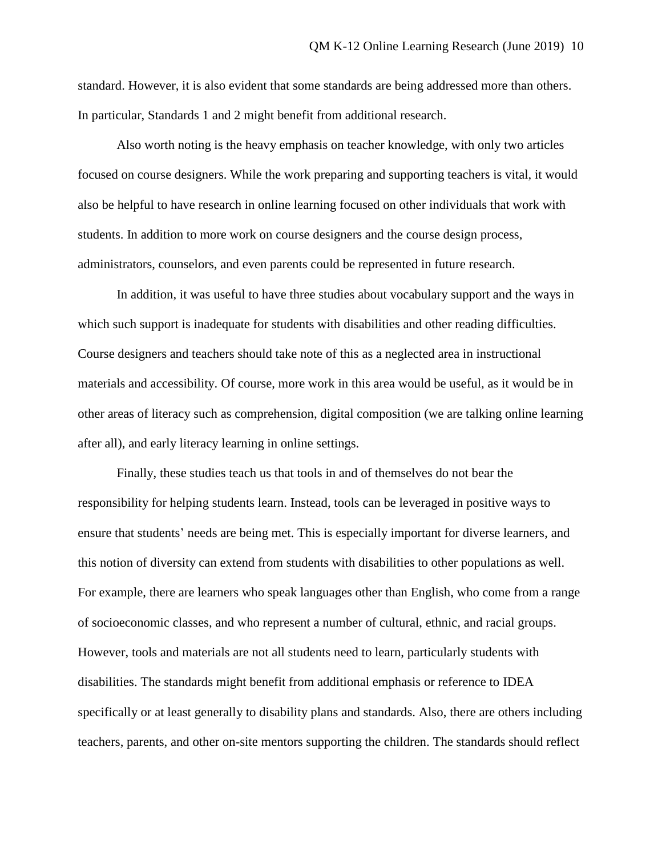standard. However, it is also evident that some standards are being addressed more than others. In particular, Standards 1 and 2 might benefit from additional research.

Also worth noting is the heavy emphasis on teacher knowledge, with only two articles focused on course designers. While the work preparing and supporting teachers is vital, it would also be helpful to have research in online learning focused on other individuals that work with students. In addition to more work on course designers and the course design process, administrators, counselors, and even parents could be represented in future research.

In addition, it was useful to have three studies about vocabulary support and the ways in which such support is inadequate for students with disabilities and other reading difficulties. Course designers and teachers should take note of this as a neglected area in instructional materials and accessibility. Of course, more work in this area would be useful, as it would be in other areas of literacy such as comprehension, digital composition (we are talking online learning after all), and early literacy learning in online settings.

Finally, these studies teach us that tools in and of themselves do not bear the responsibility for helping students learn. Instead, tools can be leveraged in positive ways to ensure that students' needs are being met. This is especially important for diverse learners, and this notion of diversity can extend from students with disabilities to other populations as well. For example, there are learners who speak languages other than English, who come from a range of socioeconomic classes, and who represent a number of cultural, ethnic, and racial groups. However, tools and materials are not all students need to learn, particularly students with disabilities. The standards might benefit from additional emphasis or reference to IDEA specifically or at least generally to disability plans and standards. Also, there are others including teachers, parents, and other on-site mentors supporting the children. The standards should reflect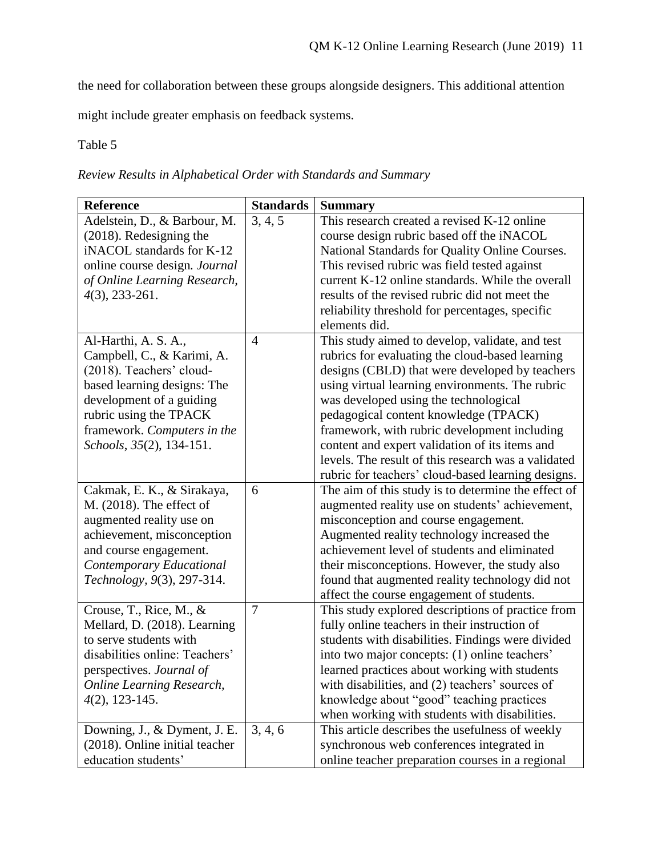the need for collaboration between these groups alongside designers. This additional attention

might include greater emphasis on feedback systems.

Table 5

| Reference                        | <b>Standards</b> | <b>Summary</b>                                      |
|----------------------------------|------------------|-----------------------------------------------------|
| Adelstein, D., & Barbour, M.     | 3, 4, 5          | This research created a revised K-12 online         |
| (2018). Redesigning the          |                  | course design rubric based off the iNACOL           |
| iNACOL standards for K-12        |                  | National Standards for Quality Online Courses.      |
| online course design. Journal    |                  | This revised rubric was field tested against        |
| of Online Learning Research,     |                  | current K-12 online standards. While the overall    |
| $4(3)$ , 233-261.                |                  | results of the revised rubric did not meet the      |
|                                  |                  | reliability threshold for percentages, specific     |
|                                  |                  | elements did.                                       |
| Al-Harthi, A. S. A.,             | $\overline{4}$   | This study aimed to develop, validate, and test     |
| Campbell, C., & Karimi, A.       |                  | rubrics for evaluating the cloud-based learning     |
| (2018). Teachers' cloud-         |                  | designs (CBLD) that were developed by teachers      |
| based learning designs: The      |                  | using virtual learning environments. The rubric     |
| development of a guiding         |                  | was developed using the technological               |
| rubric using the TPACK           |                  | pedagogical content knowledge (TPACK)               |
| framework. Computers in the      |                  | framework, with rubric development including        |
| Schools, 35(2), 134-151.         |                  | content and expert validation of its items and      |
|                                  |                  | levels. The result of this research was a validated |
|                                  |                  | rubric for teachers' cloud-based learning designs.  |
| Cakmak, E. K., & Sirakaya,       | 6                | The aim of this study is to determine the effect of |
| M. (2018). The effect of         |                  | augmented reality use on students' achievement,     |
| augmented reality use on         |                  | misconception and course engagement.                |
| achievement, misconception       |                  | Augmented reality technology increased the          |
| and course engagement.           |                  | achievement level of students and eliminated        |
| Contemporary Educational         |                  | their misconceptions. However, the study also       |
| Technology, 9(3), 297-314.       |                  | found that augmented reality technology did not     |
|                                  |                  | affect the course engagement of students.           |
| Crouse, T., Rice, M., &          | $\overline{7}$   | This study explored descriptions of practice from   |
| Mellard, D. (2018). Learning     |                  | fully online teachers in their instruction of       |
| to serve students with           |                  | students with disabilities. Findings were divided   |
| disabilities online: Teachers'   |                  | into two major concepts: (1) online teachers'       |
| perspectives. Journal of         |                  | learned practices about working with students       |
| <b>Online Learning Research,</b> |                  | with disabilities, and (2) teachers' sources of     |
| $4(2)$ , 123-145.                |                  | knowledge about "good" teaching practices           |
|                                  |                  | when working with students with disabilities.       |
| Downing, J., & Dyment, J. E.     | 3, 4, 6          | This article describes the usefulness of weekly     |
| (2018). Online initial teacher   |                  | synchronous web conferences integrated in           |
| education students'              |                  | online teacher preparation courses in a regional    |

*Review Results in Alphabetical Order with Standards and Summary*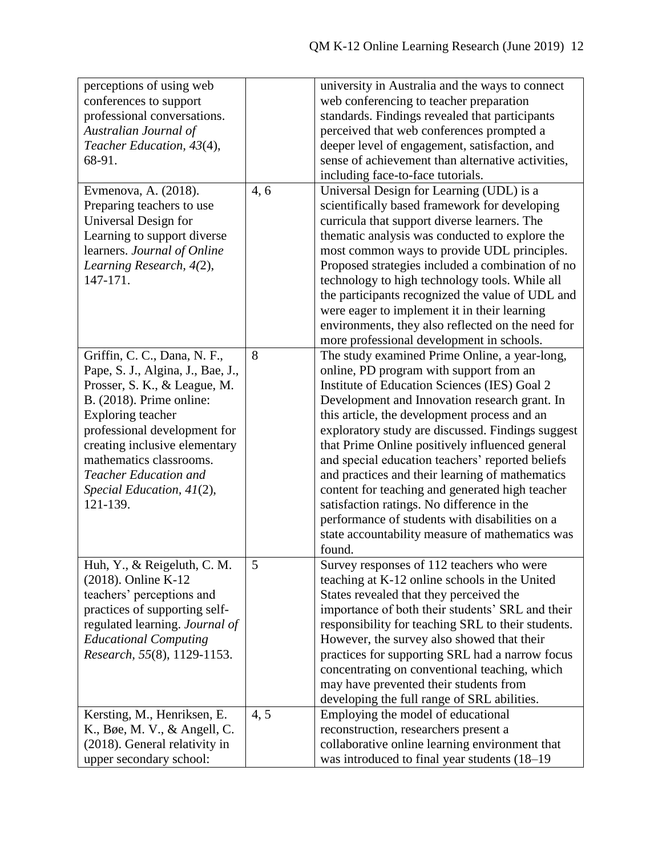| perceptions of using web                                 |      | university in Australia and the ways to connect    |
|----------------------------------------------------------|------|----------------------------------------------------|
| conferences to support                                   |      | web conferencing to teacher preparation            |
| professional conversations.                              |      | standards. Findings revealed that participants     |
| Australian Journal of                                    |      | perceived that web conferences prompted a          |
| Teacher Education, 43(4),                                |      | deeper level of engagement, satisfaction, and      |
| 68-91.                                                   |      | sense of achievement than alternative activities,  |
|                                                          |      | including face-to-face tutorials.                  |
| Evmenova, A. (2018).                                     | 4, 6 | Universal Design for Learning (UDL) is a           |
| Preparing teachers to use                                |      | scientifically based framework for developing      |
| Universal Design for                                     |      | curricula that support diverse learners. The       |
| Learning to support diverse                              |      | thematic analysis was conducted to explore the     |
| learners. Journal of Online                              |      | most common ways to provide UDL principles.        |
| Learning Research, 4(2),                                 |      | Proposed strategies included a combination of no   |
| 147-171.                                                 |      | technology to high technology tools. While all     |
|                                                          |      | the participants recognized the value of UDL and   |
|                                                          |      | were eager to implement it in their learning       |
|                                                          |      | environments, they also reflected on the need for  |
|                                                          |      | more professional development in schools.          |
| Griffin, C. C., Dana, N. F.,                             | 8    | The study examined Prime Online, a year-long,      |
| Pape, S. J., Algina, J., Bae, J.,                        |      | online, PD program with support from an            |
| Prosser, S. K., & League, M.                             |      | Institute of Education Sciences (IES) Goal 2       |
| B. (2018). Prime online:                                 |      | Development and Innovation research grant. In      |
| Exploring teacher                                        |      | this article, the development process and an       |
|                                                          |      | exploratory study are discussed. Findings suggest  |
| professional development for                             |      |                                                    |
| creating inclusive elementary<br>mathematics classrooms. |      | that Prime Online positively influenced general    |
| <b>Teacher Education and</b>                             |      | and special education teachers' reported beliefs   |
|                                                          |      | and practices and their learning of mathematics    |
| Special Education, $41(2)$ ,                             |      | content for teaching and generated high teacher    |
| 121-139.                                                 |      | satisfaction ratings. No difference in the         |
|                                                          |      | performance of students with disabilities on a     |
|                                                          |      | state accountability measure of mathematics was    |
|                                                          |      | found.                                             |
| Huh, Y., $\&$ Reigeluth, C. M.                           | 5    | Survey responses of 112 teachers who were          |
| $(2018)$ . Online K-12                                   |      | teaching at K-12 online schools in the United      |
| teachers' perceptions and                                |      | States revealed that they perceived the            |
| practices of supporting self-                            |      | importance of both their students' SRL and their   |
| regulated learning. Journal of                           |      | responsibility for teaching SRL to their students. |
| <b>Educational Computing</b>                             |      | However, the survey also showed that their         |
| Research, 55(8), 1129-1153.                              |      | practices for supporting SRL had a narrow focus    |
|                                                          |      | concentrating on conventional teaching, which      |
|                                                          |      | may have prevented their students from             |
|                                                          |      | developing the full range of SRL abilities.        |
| Kersting, M., Henriksen, E.                              | 4,5  | Employing the model of educational                 |
| K., Bøe, M. V., & Angell, C.                             |      | reconstruction, researchers present a              |
| (2018). General relativity in                            |      | collaborative online learning environment that     |
| upper secondary school:                                  |      | was introduced to final year students (18-19)      |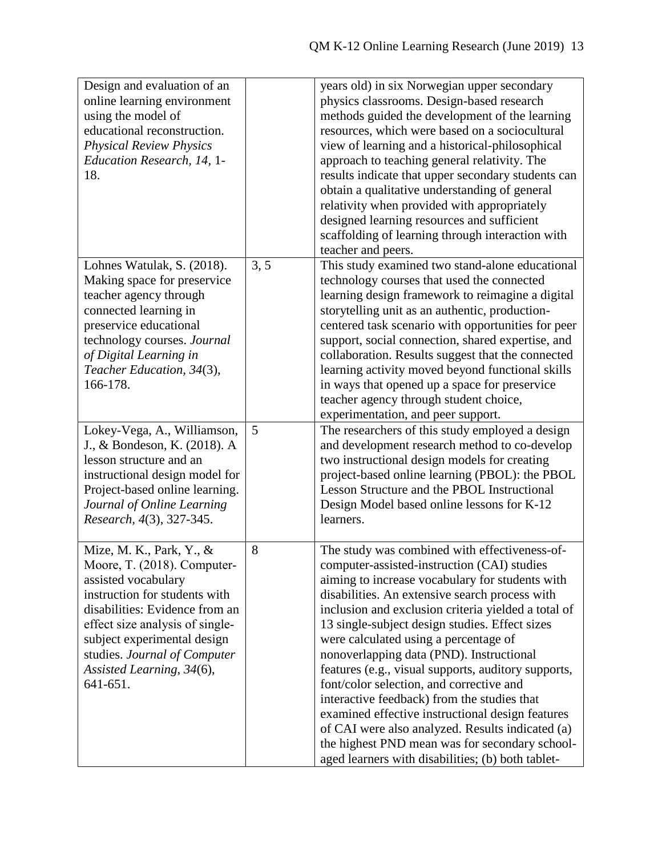| Design and evaluation of an     |      | years old) in six Norwegian upper secondary                                                         |
|---------------------------------|------|-----------------------------------------------------------------------------------------------------|
| online learning environment     |      | physics classrooms. Design-based research                                                           |
| using the model of              |      | methods guided the development of the learning                                                      |
| educational reconstruction.     |      | resources, which were based on a sociocultural                                                      |
| <b>Physical Review Physics</b>  |      | view of learning and a historical-philosophical                                                     |
| Education Research, 14, 1-      |      | approach to teaching general relativity. The                                                        |
| 18.                             |      | results indicate that upper secondary students can                                                  |
|                                 |      | obtain a qualitative understanding of general                                                       |
|                                 |      | relativity when provided with appropriately                                                         |
|                                 |      |                                                                                                     |
|                                 |      | designed learning resources and sufficient                                                          |
|                                 |      | scaffolding of learning through interaction with                                                    |
|                                 |      | teacher and peers.                                                                                  |
| Lohnes Watulak, S. (2018).      | 3, 5 | This study examined two stand-alone educational                                                     |
| Making space for preservice     |      | technology courses that used the connected                                                          |
| teacher agency through          |      | learning design framework to reimagine a digital                                                    |
| connected learning in           |      | storytelling unit as an authentic, production-                                                      |
| preservice educational          |      | centered task scenario with opportunities for peer                                                  |
| technology courses. Journal     |      | support, social connection, shared expertise, and                                                   |
| of Digital Learning in          |      | collaboration. Results suggest that the connected                                                   |
| Teacher Education, 34(3),       |      | learning activity moved beyond functional skills                                                    |
| 166-178.                        |      | in ways that opened up a space for preservice                                                       |
|                                 |      | teacher agency through student choice,                                                              |
|                                 |      | experimentation, and peer support.                                                                  |
| Lokey-Vega, A., Williamson,     | 5    | The researchers of this study employed a design                                                     |
| J., & Bondeson, K. (2018). A    |      | and development research method to co-develop                                                       |
| lesson structure and an         |      | two instructional design models for creating                                                        |
| instructional design model for  |      | project-based online learning (PBOL): the PBOL                                                      |
| Project-based online learning.  |      | Lesson Structure and the PBOL Instructional                                                         |
| Journal of Online Learning      |      |                                                                                                     |
|                                 |      | Design Model based online lessons for K-12                                                          |
| Research, 4(3), 327-345.        |      | learners.                                                                                           |
|                                 |      |                                                                                                     |
| Mize, M. K., Park, Y., &        | 8    | The study was combined with effectiveness-of-                                                       |
| Moore, T. (2018). Computer-     |      | computer-assisted-instruction (CAI) studies                                                         |
| assisted vocabulary             |      | aiming to increase vocabulary for students with                                                     |
| instruction for students with   |      | disabilities. An extensive search process with                                                      |
| disabilities: Evidence from an  |      | inclusion and exclusion criteria yielded a total of                                                 |
| effect size analysis of single- |      | 13 single-subject design studies. Effect sizes                                                      |
| subject experimental design     |      | were calculated using a percentage of                                                               |
| studies. Journal of Computer    |      | nonoverlapping data (PND). Instructional                                                            |
| Assisted Learning, 34(6),       |      |                                                                                                     |
| 641-651.                        |      |                                                                                                     |
|                                 |      | features (e.g., visual supports, auditory supports,                                                 |
|                                 |      | font/color selection, and corrective and                                                            |
|                                 |      | interactive feedback) from the studies that                                                         |
|                                 |      | examined effective instructional design features                                                    |
|                                 |      | of CAI were also analyzed. Results indicated (a)                                                    |
|                                 |      | the highest PND mean was for secondary school-<br>aged learners with disabilities; (b) both tablet- |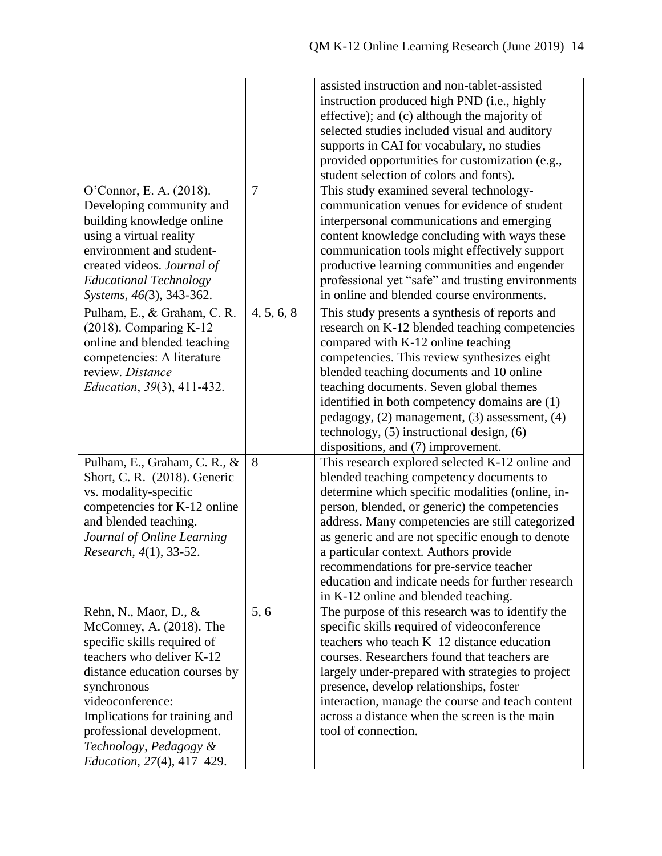|                                   |                | assisted instruction and non-tablet-assisted      |
|-----------------------------------|----------------|---------------------------------------------------|
|                                   |                | instruction produced high PND (i.e., highly       |
|                                   |                | effective); and (c) although the majority of      |
|                                   |                | selected studies included visual and auditory     |
|                                   |                | supports in CAI for vocabulary, no studies        |
|                                   |                | provided opportunities for customization (e.g.,   |
|                                   |                | student selection of colors and fonts).           |
| O'Connor, E. A. (2018).           | $\overline{7}$ | This study examined several technology-           |
| Developing community and          |                | communication venues for evidence of student      |
| building knowledge online         |                | interpersonal communications and emerging         |
| using a virtual reality           |                | content knowledge concluding with ways these      |
| environment and student-          |                | communication tools might effectively support     |
| created videos. Journal of        |                | productive learning communities and engender      |
| <b>Educational Technology</b>     |                | professional yet "safe" and trusting environments |
| Systems, 46(3), 343-362.          |                | in online and blended course environments.        |
|                                   |                |                                                   |
| Pulham, E., & Graham, C. R.       | 4, 5, 6, 8     | This study presents a synthesis of reports and    |
| $(2018)$ . Comparing K-12         |                | research on K-12 blended teaching competencies    |
| online and blended teaching       |                | compared with K-12 online teaching                |
| competencies: A literature        |                | competencies. This review synthesizes eight       |
| review. Distance                  |                | blended teaching documents and 10 online          |
| Education, 39(3), 411-432.        |                | teaching documents. Seven global themes           |
|                                   |                | identified in both competency domains are (1)     |
|                                   |                | pedagogy, (2) management, (3) assessment, (4)     |
|                                   |                | technology, $(5)$ instructional design, $(6)$     |
|                                   |                | dispositions, and (7) improvement.                |
| Pulham, E., Graham, C. R., &      | 8              | This research explored selected K-12 online and   |
| Short, C. R. (2018). Generic      |                | blended teaching competency documents to          |
| vs. modality-specific             |                | determine which specific modalities (online, in-  |
| competencies for K-12 online      |                | person, blended, or generic) the competencies     |
| and blended teaching.             |                | address. Many competencies are still categorized  |
| Journal of Online Learning        |                | as generic and are not specific enough to denote  |
| Research, 4(1), 33-52.            |                | a particular context. Authors provide             |
|                                   |                | recommendations for pre-service teacher           |
|                                   |                | education and indicate needs for further research |
|                                   |                | in K-12 online and blended teaching.              |
| Rehn, N., Maor, D., &             | 5,6            | The purpose of this research was to identify the  |
| McConney, A. (2018). The          |                | specific skills required of videoconference       |
| specific skills required of       |                | teachers who teach $K-12$ distance education      |
| teachers who deliver K-12         |                | courses. Researchers found that teachers are      |
| distance education courses by     |                | largely under-prepared with strategies to project |
| synchronous                       |                | presence, develop relationships, foster           |
| videoconference:                  |                | interaction, manage the course and teach content  |
| Implications for training and     |                | across a distance when the screen is the main     |
| professional development.         |                | tool of connection.                               |
| Technology, Pedagogy &            |                |                                                   |
| <i>Education, 27(4), 417–429.</i> |                |                                                   |
|                                   |                |                                                   |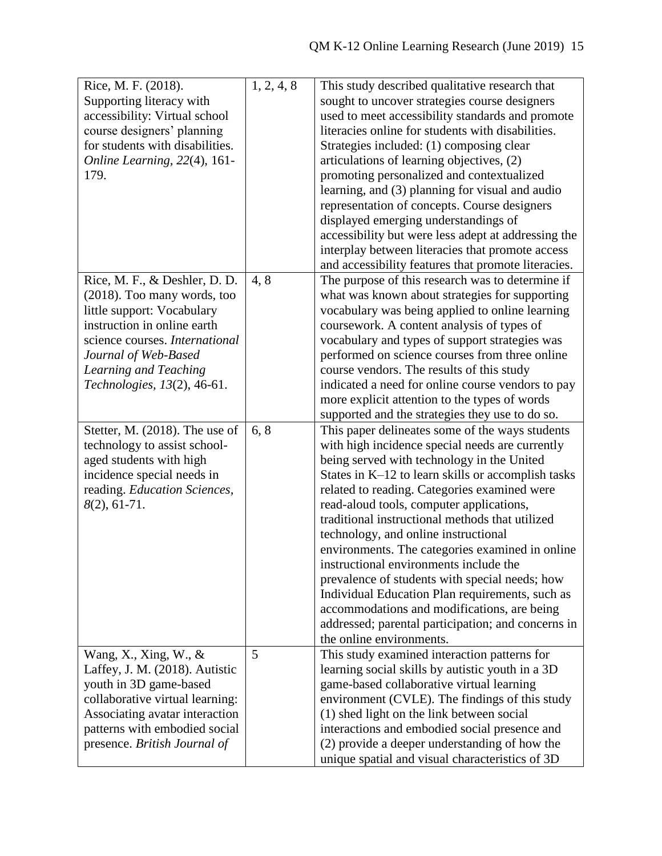| Supporting literacy with<br>sought to uncover strategies course designers<br>used to meet accessibility standards and promote<br>accessibility: Virtual school<br>literacies online for students with disabilities.<br>course designers' planning<br>for students with disabilities.<br>Strategies included: (1) composing clear<br>articulations of learning objectives, (2)<br>Online Learning, 22(4), 161-<br>promoting personalized and contextualized<br>179.<br>learning, and (3) planning for visual and audio<br>representation of concepts. Course designers<br>displayed emerging understandings of<br>accessibility but were less adept at addressing the<br>interplay between literacies that promote access<br>and accessibility features that promote literacies.<br>4,8<br>Rice, M. F., & Deshler, D. D.<br>The purpose of this research was to determine if<br>what was known about strategies for supporting<br>(2018). Too many words, too<br>little support: Vocabulary<br>vocabulary was being applied to online learning<br>instruction in online earth<br>coursework. A content analysis of types of<br>science courses. International<br>vocabulary and types of support strategies was<br>performed on science courses from three online<br>Journal of Web-Based<br>course vendors. The results of this study<br>Learning and Teaching<br>Technologies, 13(2), 46-61.<br>indicated a need for online course vendors to pay<br>more explicit attention to the types of words<br>supported and the strategies they use to do so.<br>6, 8<br>This paper delineates some of the ways students<br>Stetter, M. (2018). The use of<br>with high incidence special needs are currently<br>technology to assist school-<br>aged students with high<br>being served with technology in the United<br>incidence special needs in<br>States in K-12 to learn skills or accomplish tasks<br>related to reading. Categories examined were<br>reading. Education Sciences,<br>$8(2), 61-71.$<br>read-aloud tools, computer applications,<br>traditional instructional methods that utilized<br>technology, and online instructional<br>environments. The categories examined in online<br>instructional environments include the<br>prevalence of students with special needs; how<br>Individual Education Plan requirements, such as<br>accommodations and modifications, are being<br>addressed; parental participation; and concerns in | Rice, M. F. (2018). | 1, 2, 4, 8 | This study described qualitative research that |
|-----------------------------------------------------------------------------------------------------------------------------------------------------------------------------------------------------------------------------------------------------------------------------------------------------------------------------------------------------------------------------------------------------------------------------------------------------------------------------------------------------------------------------------------------------------------------------------------------------------------------------------------------------------------------------------------------------------------------------------------------------------------------------------------------------------------------------------------------------------------------------------------------------------------------------------------------------------------------------------------------------------------------------------------------------------------------------------------------------------------------------------------------------------------------------------------------------------------------------------------------------------------------------------------------------------------------------------------------------------------------------------------------------------------------------------------------------------------------------------------------------------------------------------------------------------------------------------------------------------------------------------------------------------------------------------------------------------------------------------------------------------------------------------------------------------------------------------------------------------------------------------------------------------------------------------------------------------------------------------------------------------------------------------------------------------------------------------------------------------------------------------------------------------------------------------------------------------------------------------------------------------------------------------------------------------------------------------------------------------------------------------------------------------------------------------------------------|---------------------|------------|------------------------------------------------|
|                                                                                                                                                                                                                                                                                                                                                                                                                                                                                                                                                                                                                                                                                                                                                                                                                                                                                                                                                                                                                                                                                                                                                                                                                                                                                                                                                                                                                                                                                                                                                                                                                                                                                                                                                                                                                                                                                                                                                                                                                                                                                                                                                                                                                                                                                                                                                                                                                                                     |                     |            |                                                |
|                                                                                                                                                                                                                                                                                                                                                                                                                                                                                                                                                                                                                                                                                                                                                                                                                                                                                                                                                                                                                                                                                                                                                                                                                                                                                                                                                                                                                                                                                                                                                                                                                                                                                                                                                                                                                                                                                                                                                                                                                                                                                                                                                                                                                                                                                                                                                                                                                                                     |                     |            |                                                |
|                                                                                                                                                                                                                                                                                                                                                                                                                                                                                                                                                                                                                                                                                                                                                                                                                                                                                                                                                                                                                                                                                                                                                                                                                                                                                                                                                                                                                                                                                                                                                                                                                                                                                                                                                                                                                                                                                                                                                                                                                                                                                                                                                                                                                                                                                                                                                                                                                                                     |                     |            |                                                |
|                                                                                                                                                                                                                                                                                                                                                                                                                                                                                                                                                                                                                                                                                                                                                                                                                                                                                                                                                                                                                                                                                                                                                                                                                                                                                                                                                                                                                                                                                                                                                                                                                                                                                                                                                                                                                                                                                                                                                                                                                                                                                                                                                                                                                                                                                                                                                                                                                                                     |                     |            |                                                |
|                                                                                                                                                                                                                                                                                                                                                                                                                                                                                                                                                                                                                                                                                                                                                                                                                                                                                                                                                                                                                                                                                                                                                                                                                                                                                                                                                                                                                                                                                                                                                                                                                                                                                                                                                                                                                                                                                                                                                                                                                                                                                                                                                                                                                                                                                                                                                                                                                                                     |                     |            |                                                |
|                                                                                                                                                                                                                                                                                                                                                                                                                                                                                                                                                                                                                                                                                                                                                                                                                                                                                                                                                                                                                                                                                                                                                                                                                                                                                                                                                                                                                                                                                                                                                                                                                                                                                                                                                                                                                                                                                                                                                                                                                                                                                                                                                                                                                                                                                                                                                                                                                                                     |                     |            |                                                |
|                                                                                                                                                                                                                                                                                                                                                                                                                                                                                                                                                                                                                                                                                                                                                                                                                                                                                                                                                                                                                                                                                                                                                                                                                                                                                                                                                                                                                                                                                                                                                                                                                                                                                                                                                                                                                                                                                                                                                                                                                                                                                                                                                                                                                                                                                                                                                                                                                                                     |                     |            |                                                |
|                                                                                                                                                                                                                                                                                                                                                                                                                                                                                                                                                                                                                                                                                                                                                                                                                                                                                                                                                                                                                                                                                                                                                                                                                                                                                                                                                                                                                                                                                                                                                                                                                                                                                                                                                                                                                                                                                                                                                                                                                                                                                                                                                                                                                                                                                                                                                                                                                                                     |                     |            |                                                |
|                                                                                                                                                                                                                                                                                                                                                                                                                                                                                                                                                                                                                                                                                                                                                                                                                                                                                                                                                                                                                                                                                                                                                                                                                                                                                                                                                                                                                                                                                                                                                                                                                                                                                                                                                                                                                                                                                                                                                                                                                                                                                                                                                                                                                                                                                                                                                                                                                                                     |                     |            |                                                |
|                                                                                                                                                                                                                                                                                                                                                                                                                                                                                                                                                                                                                                                                                                                                                                                                                                                                                                                                                                                                                                                                                                                                                                                                                                                                                                                                                                                                                                                                                                                                                                                                                                                                                                                                                                                                                                                                                                                                                                                                                                                                                                                                                                                                                                                                                                                                                                                                                                                     |                     |            |                                                |
|                                                                                                                                                                                                                                                                                                                                                                                                                                                                                                                                                                                                                                                                                                                                                                                                                                                                                                                                                                                                                                                                                                                                                                                                                                                                                                                                                                                                                                                                                                                                                                                                                                                                                                                                                                                                                                                                                                                                                                                                                                                                                                                                                                                                                                                                                                                                                                                                                                                     |                     |            |                                                |
|                                                                                                                                                                                                                                                                                                                                                                                                                                                                                                                                                                                                                                                                                                                                                                                                                                                                                                                                                                                                                                                                                                                                                                                                                                                                                                                                                                                                                                                                                                                                                                                                                                                                                                                                                                                                                                                                                                                                                                                                                                                                                                                                                                                                                                                                                                                                                                                                                                                     |                     |            |                                                |
|                                                                                                                                                                                                                                                                                                                                                                                                                                                                                                                                                                                                                                                                                                                                                                                                                                                                                                                                                                                                                                                                                                                                                                                                                                                                                                                                                                                                                                                                                                                                                                                                                                                                                                                                                                                                                                                                                                                                                                                                                                                                                                                                                                                                                                                                                                                                                                                                                                                     |                     |            |                                                |
|                                                                                                                                                                                                                                                                                                                                                                                                                                                                                                                                                                                                                                                                                                                                                                                                                                                                                                                                                                                                                                                                                                                                                                                                                                                                                                                                                                                                                                                                                                                                                                                                                                                                                                                                                                                                                                                                                                                                                                                                                                                                                                                                                                                                                                                                                                                                                                                                                                                     |                     |            |                                                |
|                                                                                                                                                                                                                                                                                                                                                                                                                                                                                                                                                                                                                                                                                                                                                                                                                                                                                                                                                                                                                                                                                                                                                                                                                                                                                                                                                                                                                                                                                                                                                                                                                                                                                                                                                                                                                                                                                                                                                                                                                                                                                                                                                                                                                                                                                                                                                                                                                                                     |                     |            |                                                |
|                                                                                                                                                                                                                                                                                                                                                                                                                                                                                                                                                                                                                                                                                                                                                                                                                                                                                                                                                                                                                                                                                                                                                                                                                                                                                                                                                                                                                                                                                                                                                                                                                                                                                                                                                                                                                                                                                                                                                                                                                                                                                                                                                                                                                                                                                                                                                                                                                                                     |                     |            |                                                |
|                                                                                                                                                                                                                                                                                                                                                                                                                                                                                                                                                                                                                                                                                                                                                                                                                                                                                                                                                                                                                                                                                                                                                                                                                                                                                                                                                                                                                                                                                                                                                                                                                                                                                                                                                                                                                                                                                                                                                                                                                                                                                                                                                                                                                                                                                                                                                                                                                                                     |                     |            |                                                |
|                                                                                                                                                                                                                                                                                                                                                                                                                                                                                                                                                                                                                                                                                                                                                                                                                                                                                                                                                                                                                                                                                                                                                                                                                                                                                                                                                                                                                                                                                                                                                                                                                                                                                                                                                                                                                                                                                                                                                                                                                                                                                                                                                                                                                                                                                                                                                                                                                                                     |                     |            |                                                |
|                                                                                                                                                                                                                                                                                                                                                                                                                                                                                                                                                                                                                                                                                                                                                                                                                                                                                                                                                                                                                                                                                                                                                                                                                                                                                                                                                                                                                                                                                                                                                                                                                                                                                                                                                                                                                                                                                                                                                                                                                                                                                                                                                                                                                                                                                                                                                                                                                                                     |                     |            |                                                |
|                                                                                                                                                                                                                                                                                                                                                                                                                                                                                                                                                                                                                                                                                                                                                                                                                                                                                                                                                                                                                                                                                                                                                                                                                                                                                                                                                                                                                                                                                                                                                                                                                                                                                                                                                                                                                                                                                                                                                                                                                                                                                                                                                                                                                                                                                                                                                                                                                                                     |                     |            |                                                |
|                                                                                                                                                                                                                                                                                                                                                                                                                                                                                                                                                                                                                                                                                                                                                                                                                                                                                                                                                                                                                                                                                                                                                                                                                                                                                                                                                                                                                                                                                                                                                                                                                                                                                                                                                                                                                                                                                                                                                                                                                                                                                                                                                                                                                                                                                                                                                                                                                                                     |                     |            |                                                |
|                                                                                                                                                                                                                                                                                                                                                                                                                                                                                                                                                                                                                                                                                                                                                                                                                                                                                                                                                                                                                                                                                                                                                                                                                                                                                                                                                                                                                                                                                                                                                                                                                                                                                                                                                                                                                                                                                                                                                                                                                                                                                                                                                                                                                                                                                                                                                                                                                                                     |                     |            |                                                |
|                                                                                                                                                                                                                                                                                                                                                                                                                                                                                                                                                                                                                                                                                                                                                                                                                                                                                                                                                                                                                                                                                                                                                                                                                                                                                                                                                                                                                                                                                                                                                                                                                                                                                                                                                                                                                                                                                                                                                                                                                                                                                                                                                                                                                                                                                                                                                                                                                                                     |                     |            |                                                |
|                                                                                                                                                                                                                                                                                                                                                                                                                                                                                                                                                                                                                                                                                                                                                                                                                                                                                                                                                                                                                                                                                                                                                                                                                                                                                                                                                                                                                                                                                                                                                                                                                                                                                                                                                                                                                                                                                                                                                                                                                                                                                                                                                                                                                                                                                                                                                                                                                                                     |                     |            |                                                |
|                                                                                                                                                                                                                                                                                                                                                                                                                                                                                                                                                                                                                                                                                                                                                                                                                                                                                                                                                                                                                                                                                                                                                                                                                                                                                                                                                                                                                                                                                                                                                                                                                                                                                                                                                                                                                                                                                                                                                                                                                                                                                                                                                                                                                                                                                                                                                                                                                                                     |                     |            |                                                |
|                                                                                                                                                                                                                                                                                                                                                                                                                                                                                                                                                                                                                                                                                                                                                                                                                                                                                                                                                                                                                                                                                                                                                                                                                                                                                                                                                                                                                                                                                                                                                                                                                                                                                                                                                                                                                                                                                                                                                                                                                                                                                                                                                                                                                                                                                                                                                                                                                                                     |                     |            |                                                |
|                                                                                                                                                                                                                                                                                                                                                                                                                                                                                                                                                                                                                                                                                                                                                                                                                                                                                                                                                                                                                                                                                                                                                                                                                                                                                                                                                                                                                                                                                                                                                                                                                                                                                                                                                                                                                                                                                                                                                                                                                                                                                                                                                                                                                                                                                                                                                                                                                                                     |                     |            |                                                |
|                                                                                                                                                                                                                                                                                                                                                                                                                                                                                                                                                                                                                                                                                                                                                                                                                                                                                                                                                                                                                                                                                                                                                                                                                                                                                                                                                                                                                                                                                                                                                                                                                                                                                                                                                                                                                                                                                                                                                                                                                                                                                                                                                                                                                                                                                                                                                                                                                                                     |                     |            |                                                |
|                                                                                                                                                                                                                                                                                                                                                                                                                                                                                                                                                                                                                                                                                                                                                                                                                                                                                                                                                                                                                                                                                                                                                                                                                                                                                                                                                                                                                                                                                                                                                                                                                                                                                                                                                                                                                                                                                                                                                                                                                                                                                                                                                                                                                                                                                                                                                                                                                                                     |                     |            |                                                |
|                                                                                                                                                                                                                                                                                                                                                                                                                                                                                                                                                                                                                                                                                                                                                                                                                                                                                                                                                                                                                                                                                                                                                                                                                                                                                                                                                                                                                                                                                                                                                                                                                                                                                                                                                                                                                                                                                                                                                                                                                                                                                                                                                                                                                                                                                                                                                                                                                                                     |                     |            |                                                |
|                                                                                                                                                                                                                                                                                                                                                                                                                                                                                                                                                                                                                                                                                                                                                                                                                                                                                                                                                                                                                                                                                                                                                                                                                                                                                                                                                                                                                                                                                                                                                                                                                                                                                                                                                                                                                                                                                                                                                                                                                                                                                                                                                                                                                                                                                                                                                                                                                                                     |                     |            |                                                |
|                                                                                                                                                                                                                                                                                                                                                                                                                                                                                                                                                                                                                                                                                                                                                                                                                                                                                                                                                                                                                                                                                                                                                                                                                                                                                                                                                                                                                                                                                                                                                                                                                                                                                                                                                                                                                                                                                                                                                                                                                                                                                                                                                                                                                                                                                                                                                                                                                                                     |                     |            |                                                |
|                                                                                                                                                                                                                                                                                                                                                                                                                                                                                                                                                                                                                                                                                                                                                                                                                                                                                                                                                                                                                                                                                                                                                                                                                                                                                                                                                                                                                                                                                                                                                                                                                                                                                                                                                                                                                                                                                                                                                                                                                                                                                                                                                                                                                                                                                                                                                                                                                                                     |                     |            |                                                |
|                                                                                                                                                                                                                                                                                                                                                                                                                                                                                                                                                                                                                                                                                                                                                                                                                                                                                                                                                                                                                                                                                                                                                                                                                                                                                                                                                                                                                                                                                                                                                                                                                                                                                                                                                                                                                                                                                                                                                                                                                                                                                                                                                                                                                                                                                                                                                                                                                                                     |                     |            |                                                |
|                                                                                                                                                                                                                                                                                                                                                                                                                                                                                                                                                                                                                                                                                                                                                                                                                                                                                                                                                                                                                                                                                                                                                                                                                                                                                                                                                                                                                                                                                                                                                                                                                                                                                                                                                                                                                                                                                                                                                                                                                                                                                                                                                                                                                                                                                                                                                                                                                                                     |                     |            |                                                |
|                                                                                                                                                                                                                                                                                                                                                                                                                                                                                                                                                                                                                                                                                                                                                                                                                                                                                                                                                                                                                                                                                                                                                                                                                                                                                                                                                                                                                                                                                                                                                                                                                                                                                                                                                                                                                                                                                                                                                                                                                                                                                                                                                                                                                                                                                                                                                                                                                                                     |                     |            |                                                |
|                                                                                                                                                                                                                                                                                                                                                                                                                                                                                                                                                                                                                                                                                                                                                                                                                                                                                                                                                                                                                                                                                                                                                                                                                                                                                                                                                                                                                                                                                                                                                                                                                                                                                                                                                                                                                                                                                                                                                                                                                                                                                                                                                                                                                                                                                                                                                                                                                                                     |                     |            |                                                |
|                                                                                                                                                                                                                                                                                                                                                                                                                                                                                                                                                                                                                                                                                                                                                                                                                                                                                                                                                                                                                                                                                                                                                                                                                                                                                                                                                                                                                                                                                                                                                                                                                                                                                                                                                                                                                                                                                                                                                                                                                                                                                                                                                                                                                                                                                                                                                                                                                                                     |                     |            |                                                |
|                                                                                                                                                                                                                                                                                                                                                                                                                                                                                                                                                                                                                                                                                                                                                                                                                                                                                                                                                                                                                                                                                                                                                                                                                                                                                                                                                                                                                                                                                                                                                                                                                                                                                                                                                                                                                                                                                                                                                                                                                                                                                                                                                                                                                                                                                                                                                                                                                                                     |                     |            | the online environments.                       |
| 5<br>This study examined interaction patterns for<br>Wang, X., Xing, W., $\&$                                                                                                                                                                                                                                                                                                                                                                                                                                                                                                                                                                                                                                                                                                                                                                                                                                                                                                                                                                                                                                                                                                                                                                                                                                                                                                                                                                                                                                                                                                                                                                                                                                                                                                                                                                                                                                                                                                                                                                                                                                                                                                                                                                                                                                                                                                                                                                       |                     |            |                                                |
| learning social skills by autistic youth in a 3D<br>Laffey, J. M. (2018). Autistic                                                                                                                                                                                                                                                                                                                                                                                                                                                                                                                                                                                                                                                                                                                                                                                                                                                                                                                                                                                                                                                                                                                                                                                                                                                                                                                                                                                                                                                                                                                                                                                                                                                                                                                                                                                                                                                                                                                                                                                                                                                                                                                                                                                                                                                                                                                                                                  |                     |            |                                                |
| youth in 3D game-based<br>game-based collaborative virtual learning                                                                                                                                                                                                                                                                                                                                                                                                                                                                                                                                                                                                                                                                                                                                                                                                                                                                                                                                                                                                                                                                                                                                                                                                                                                                                                                                                                                                                                                                                                                                                                                                                                                                                                                                                                                                                                                                                                                                                                                                                                                                                                                                                                                                                                                                                                                                                                                 |                     |            |                                                |
| collaborative virtual learning:<br>environment (CVLE). The findings of this study                                                                                                                                                                                                                                                                                                                                                                                                                                                                                                                                                                                                                                                                                                                                                                                                                                                                                                                                                                                                                                                                                                                                                                                                                                                                                                                                                                                                                                                                                                                                                                                                                                                                                                                                                                                                                                                                                                                                                                                                                                                                                                                                                                                                                                                                                                                                                                   |                     |            |                                                |
| Associating avatar interaction<br>(1) shed light on the link between social                                                                                                                                                                                                                                                                                                                                                                                                                                                                                                                                                                                                                                                                                                                                                                                                                                                                                                                                                                                                                                                                                                                                                                                                                                                                                                                                                                                                                                                                                                                                                                                                                                                                                                                                                                                                                                                                                                                                                                                                                                                                                                                                                                                                                                                                                                                                                                         |                     |            |                                                |
| patterns with embodied social<br>interactions and embodied social presence and                                                                                                                                                                                                                                                                                                                                                                                                                                                                                                                                                                                                                                                                                                                                                                                                                                                                                                                                                                                                                                                                                                                                                                                                                                                                                                                                                                                                                                                                                                                                                                                                                                                                                                                                                                                                                                                                                                                                                                                                                                                                                                                                                                                                                                                                                                                                                                      |                     |            |                                                |
| presence. British Journal of<br>(2) provide a deeper understanding of how the                                                                                                                                                                                                                                                                                                                                                                                                                                                                                                                                                                                                                                                                                                                                                                                                                                                                                                                                                                                                                                                                                                                                                                                                                                                                                                                                                                                                                                                                                                                                                                                                                                                                                                                                                                                                                                                                                                                                                                                                                                                                                                                                                                                                                                                                                                                                                                       |                     |            |                                                |
| unique spatial and visual characteristics of 3D                                                                                                                                                                                                                                                                                                                                                                                                                                                                                                                                                                                                                                                                                                                                                                                                                                                                                                                                                                                                                                                                                                                                                                                                                                                                                                                                                                                                                                                                                                                                                                                                                                                                                                                                                                                                                                                                                                                                                                                                                                                                                                                                                                                                                                                                                                                                                                                                     |                     |            |                                                |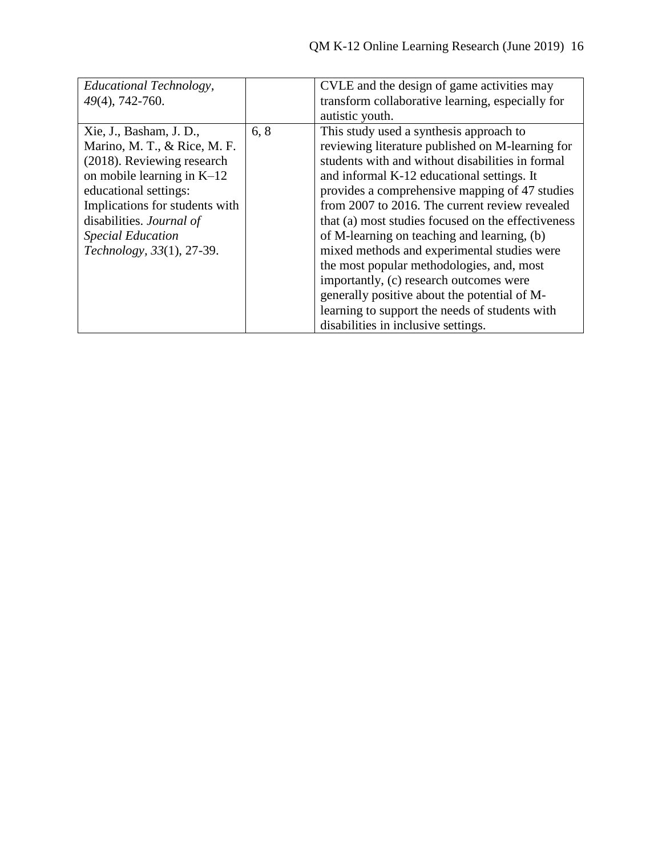| Educational Technology,<br>49(4), 742-760. |      | CVLE and the design of game activities may<br>transform collaborative learning, especially for |
|--------------------------------------------|------|------------------------------------------------------------------------------------------------|
|                                            |      | autistic youth.                                                                                |
| Xie, J., Basham, J. D.,                    | 6, 8 | This study used a synthesis approach to                                                        |
| Marino, M. T., & Rice, M. F.               |      | reviewing literature published on M-learning for                                               |
| (2018). Reviewing research                 |      | students with and without disabilities in formal                                               |
| on mobile learning in $K-12$               |      | and informal K-12 educational settings. It                                                     |
| educational settings:                      |      | provides a comprehensive mapping of 47 studies                                                 |
| Implications for students with             |      | from 2007 to 2016. The current review revealed                                                 |
| disabilities. Journal of                   |      | that (a) most studies focused on the effectiveness                                             |
| <b>Special Education</b>                   |      | of M-learning on teaching and learning, (b)                                                    |
| Technology, 33(1), 27-39.                  |      | mixed methods and experimental studies were                                                    |
|                                            |      | the most popular methodologies, and, most                                                      |
|                                            |      | importantly, (c) research outcomes were                                                        |
|                                            |      | generally positive about the potential of M-                                                   |
|                                            |      | learning to support the needs of students with                                                 |
|                                            |      | disabilities in inclusive settings.                                                            |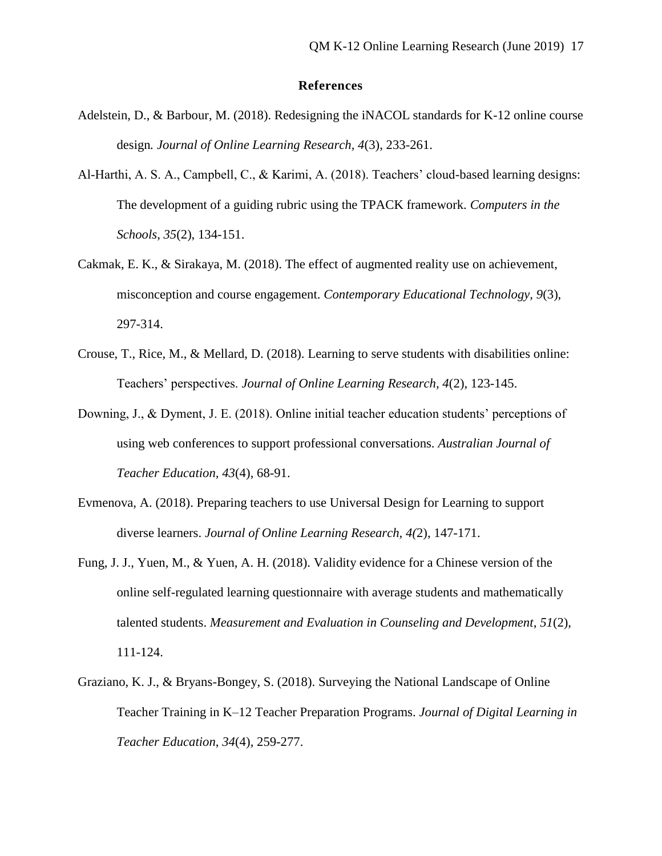### **References**

- Adelstein, D., & Barbour, M. (2018). Redesigning the iNACOL standards for K-12 online course design*. Journal of Online Learning Research, 4*(3), 233-261.
- Al-Harthi, A. S. A., Campbell, C., & Karimi, A. (2018). Teachers' cloud-based learning designs: The development of a guiding rubric using the TPACK framework. *Computers in the Schools*, *35*(2), 134-151.
- Cakmak, E. K., & Sirakaya, M. (2018). The effect of augmented reality use on achievement, misconception and course engagement. *Contemporary Educational Technology, 9*(3), 297-314.
- Crouse, T., Rice, M., & Mellard, D. (2018). Learning to serve students with disabilities online: Teachers' perspectives. *Journal of Online Learning Research, 4*(2), 123-145.
- Downing, J., & Dyment, J. E. (2018). Online initial teacher education students' perceptions of using web conferences to support professional conversations. *Australian Journal of Teacher Education, 43*(4), 68-91.
- Evmenova, A. (2018). Preparing teachers to use Universal Design for Learning to support diverse learners. *Journal of Online Learning Research, 4(*2), 147-171.
- Fung, J. J., Yuen, M., & Yuen, A. H. (2018). Validity evidence for a Chinese version of the online self-regulated learning questionnaire with average students and mathematically talented students. *Measurement and Evaluation in Counseling and Development*, *51*(2), 111-124.
- Graziano, K. J., & Bryans-Bongey, S. (2018). Surveying the National Landscape of Online Teacher Training in K–12 Teacher Preparation Programs. *Journal of Digital Learning in Teacher Education*, *34*(4), 259-277.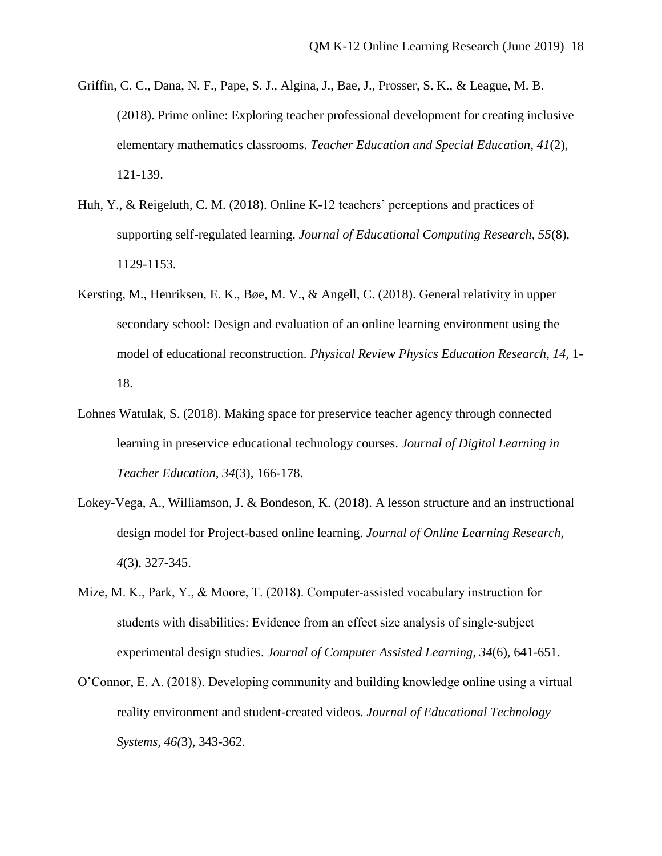- Griffin, C. C., Dana, N. F., Pape, S. J., Algina, J., Bae, J., Prosser, S. K., & League, M. B. (2018). Prime online: Exploring teacher professional development for creating inclusive elementary mathematics classrooms. *Teacher Education and Special Education, 41*(2), 121-139.
- Huh, Y., & Reigeluth, C. M. (2018). Online K-12 teachers' perceptions and practices of supporting self-regulated learning. *Journal of Educational Computing Research, 55*(8), 1129-1153.
- Kersting, M., Henriksen, E. K., Bøe, M. V., & Angell, C. (2018). General relativity in upper secondary school: Design and evaluation of an online learning environment using the model of educational reconstruction. *Physical Review Physics Education Research, 14,* 1- 18.
- Lohnes Watulak, S. (2018). Making space for preservice teacher agency through connected learning in preservice educational technology courses. *Journal of Digital Learning in Teacher Education, 34*(3), 166-178.
- Lokey-Vega, A., Williamson, J. & Bondeson, K. (2018). A lesson structure and an instructional design model for Project-based online learning. *Journal of Online Learning Research, 4*(3), 327-345.
- Mize, M. K., Park, Y., & Moore, T. (2018). Computer-assisted vocabulary instruction for students with disabilities: Evidence from an effect size analysis of single‐subject experimental design studies. *Journal of Computer Assisted Learning*, *34*(6), 641-651.
- O'Connor, E. A. (2018). Developing community and building knowledge online using a virtual reality environment and student-created videos. *Journal of Educational Technology Systems, 46(*3), 343-362.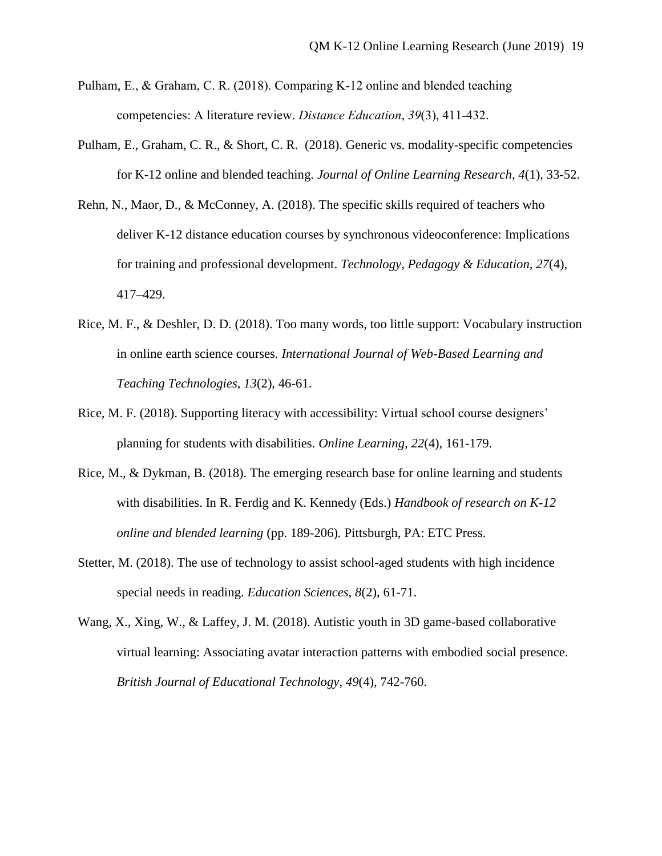- Pulham, E., & Graham, C. R. (2018). Comparing K-12 online and blended teaching competencies: A literature review. *Distance Education*, *39*(3), 411-432.
- Pulham, E., Graham, C. R., & Short, C. R. (2018). Generic vs. modality-specific competencies for K-12 online and blended teaching. *Journal of Online Learning Research, 4*(1), 33-52.
- Rehn, N., Maor, D., & McConney, A. (2018). The specific skills required of teachers who deliver K-12 distance education courses by synchronous videoconference: Implications for training and professional development. *Technology, Pedagogy & Education, 27*(4), 417–429.
- Rice, M. F., & Deshler, D. D. (2018). Too many words, too little support: Vocabulary instruction in online earth science courses. *International Journal of Web-Based Learning and Teaching Technologies, 13*(2), 46-61.
- Rice, M. F. (2018). Supporting literacy with accessibility: Virtual school course designers' planning for students with disabilities. *Online Learning, 22*(4), 161-179.
- Rice, M., & Dykman, B. (2018). The emerging research base for online learning and students with disabilities. In R. Ferdig and K. Kennedy (Eds.) *Handbook of research on K-12 online and blended learning* (pp. 189-206)*.* Pittsburgh, PA: ETC Press.
- Stetter, M. (2018). The use of technology to assist school-aged students with high incidence special needs in reading. *Education Sciences, 8*(2), 61-71.
- Wang, X., Xing, W., & Laffey, J. M. (2018). Autistic youth in 3D game-based collaborative virtual learning: Associating avatar interaction patterns with embodied social presence. *British Journal of Educational Technology, 49*(4), 742-760.